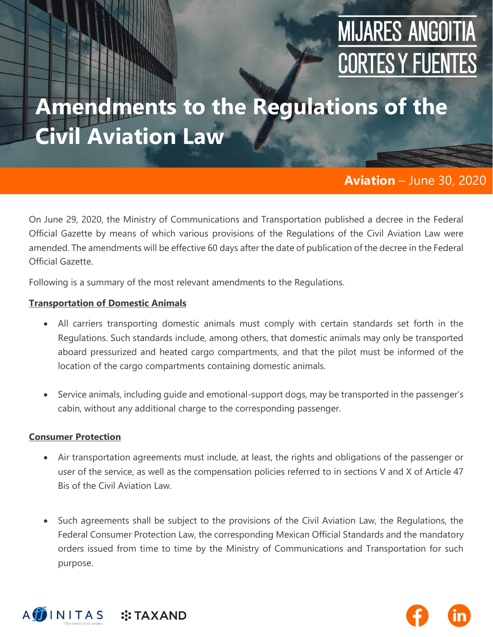# **MIJARES ANGOITIA CORTES Y FUENTES**

## **Amendments to the Regulations of the Civil Aviation Law**

#### **Aviation** – June 30, 2020

On June 29, 2020, the Ministry of Communications and Transportation published a decree in the Federal Official Gazette by means of which various provisions of the Regulations of the Civil Aviation Law were amended. The amendments will be effective 60 days after the date of publication of the decree in the Federal Official Gazette.

Following is a summary of the most relevant amendments to the Regulations.

#### **Transportation of Domestic Animals**

- All carriers transporting domestic animals must comply with certain standards set forth in the Regulations. Such standards include, among others, that domestic animals may only be transported aboard pressurized and heated cargo compartments, and that the pilot must be informed of the location of the cargo compartments containing domestic animals.
- Service animals, including guide and emotional-support dogs, may be transported in the passenger's cabin, without any additional charge to the corresponding passenger.

#### **Consumer Protection**

- Air transportation agreements must include, at least, the rights and obligations of the passenger or user of the service, as well as the compensation policies referred to in sections V and X of Article 47 Bis of the Civil Aviation Law.
- Such agreements shall be subject to the provisions of the Civil Aviation Law, the Regulations, the Federal Consumer Protection Law, the corresponding Mexican Official Standards and the mandatory orders issued from time to time by the Ministry of Communications and Transportation for such purpose.